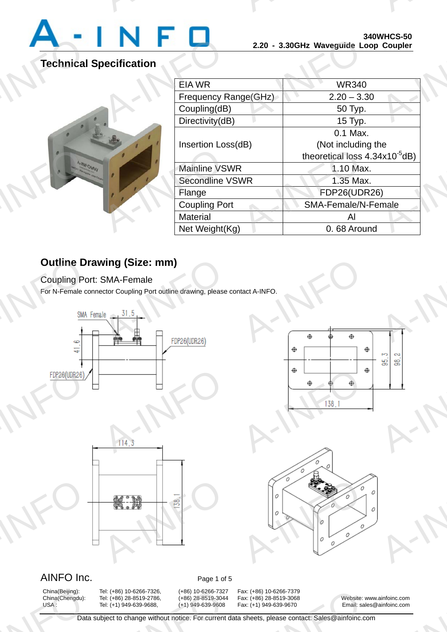

A-INFO

# **Technical Specification**



|                        | <b>ง4บพทบอ-วบ</b><br>2.20 - 3.30GHz Waveguide Loop Coupler |
|------------------------|------------------------------------------------------------|
|                        |                                                            |
| EIA WR                 | <b>WR340</b>                                               |
| Frequency Range(GHz)   | $2.20 - 3.30$                                              |
| Coupling(dB)           | 50 Typ.                                                    |
| Directivity(dB)        | $15$ Typ.                                                  |
|                        | 0.1 Max.                                                   |
| Insertion Loss(dB)     | (Not including the                                         |
|                        | theoretical loss $4.34x10^{-5}dB$ )                        |
| <b>Mainline VSWR</b>   | 1.10 Max.                                                  |
| <b>Secondline VSWR</b> | 1.35 Max.                                                  |
| Flange                 | <b>FDP26(UDR26)</b>                                        |
| <b>Coupling Port</b>   | SMA-Female/N-Female                                        |
| <b>Material</b>        | Al                                                         |
| Net Weight(Kg)         | 0.68 Around                                                |

A-INFORMATION CONTINUES.

## **Outline Drawing (Size: mm)**

Coupling Port: SMA-Female

For N-Female connector Coupling Port outline drawing, please contact A-INFO.









### AINFO Inc. Page 1 of 5

China(Beijing):<br>China(Chengdu):<br>USA :<br>Data

China(Beijing): Tel: (+86) 10-6266-7326, (+86) 10-6266-7327 Fax: (+86) 10-6266-7379 Tel: (+86) 10-6266-7326, (+86) 10-6266-7327<br>
Tel: (+86) 28-8519-2786, (+86) 28-8519-3044<br>
Tel: (+1) 949-639-9688, (+1) 949-639-9608<br>
bject to change without notice. For current

Fax: (+86) 10-6266-7379<br>Fax: (+86) 28-8519-3068<br>Fax: (+1) 949-639-9670 Email: sal<br>A sheets, please contact: Sales@ainfoinc.co

China(Chengdu): Tel: (+86) 28-8519-2786, (+86) 28-8519-3044 Fax: (+86) 28-8519-3068 Website: www.ainfoinc.com Email: sales@ainfoinc.com ainfoinc.com<br>ainfoinc.com

Data subject to change without notice. For current data sheets, please contact: Sales@ainfoinc.com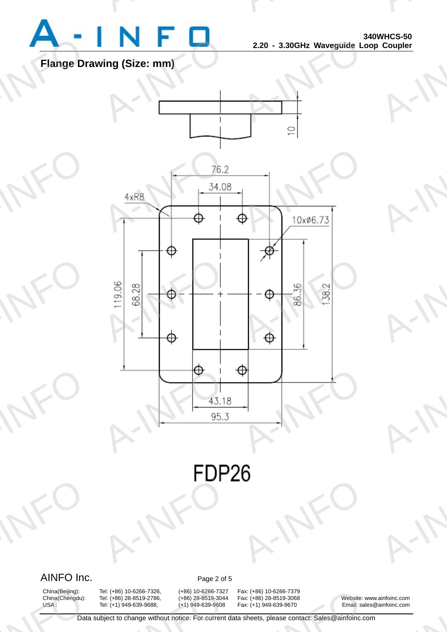

A-INFO

A-INFO

A-INFO

A-INFO

A-INFO

A-INFORMATION CONTINUES.

### **Flange Drawing (Size: mm)**



A-IFO A-INFO

### AINFO Inc. Page 2 of 5

A-INFO

China(Beijing):<br>China(Chengdu):<br>USA :<br>Data

China(Beijing): Tel: (+86) 10-6266-7326, (+86) 10-6266-7327 Fax: (+86) 10-6266-7379<br>China(Chengdu): Tel: (+86) 28-8519-2786, (+86) 28-8519-3044 Fax: (+86) 28-8519-3068 Tel: (+86) 10-6266-7326, (+86) 10-6266-7327<br>
Tel: (+86) 28-8519-2786, (+86) 28-8519-3044<br>
Tel: (+1) 949-639-9688, (+1) 949-639-9608<br>
bject to change without notice. For current

Fax: (+86) 10-6266-7379<br>Fax: (+86) 28-8519-3068<br>Fax: (+1) 949-639-9670 Email: sal<br>A sheets, please contact: Sales@ainfoinc.co

China(Chengdu): Tel: (+86) 28-8519-2786, (+86) 28-8519-3044 Fax: (+86) 28-8519-3068 Website: www.ainfoinc.com Email: sales@ainfoinc.com ainfoinc.com<br>ainfoinc.com

Data subject to change without notice. For current data sheets, please contact: Sales@ainfoinc.com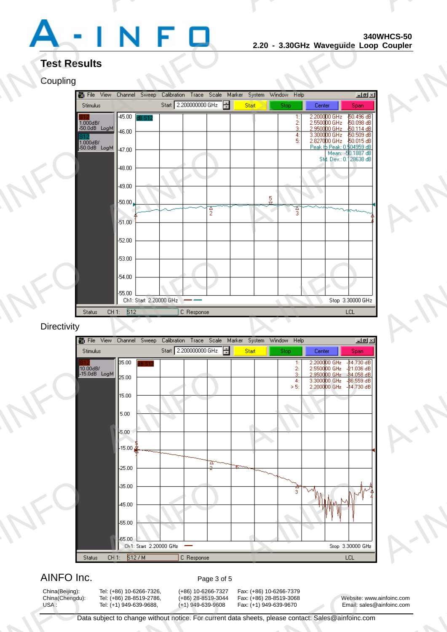

A-INFO

A-INFO

A-INFO

A-INFO

A-INFO

A-INFORMATION CONTINUES.

# **Test Results**

### **Coupling**

| <b>Test Results</b>         |                                                   |                                                   |               |                     |                                                                          |
|-----------------------------|---------------------------------------------------|---------------------------------------------------|---------------|---------------------|--------------------------------------------------------------------------|
| Coupling                    |                                                   |                                                   |               |                     |                                                                          |
| 6 File View                 | Channel Sweep                                     | Calibration Trace Scale Marker System Window Help |               |                     | $-121 \times$                                                            |
| Stimulus                    |                                                   | Start 2.200000000 GHz                             | Start         | Stop                | Center<br>Span                                                           |
| $1.000$ dB/                 | $-45.00$ $dB$ S12                                 |                                                   |               | 1:                  | 50.496 dB<br>2.200000 GHz<br>2.550000 GHz<br>50.098 dB                   |
| Meal Bb0.0dB                | $-46.00$                                          |                                                   |               | $\frac{2}{3}$<br>4: | 2.950000 GHz<br>\$0.114dB<br>3.300000 GHz<br>$50.509$ dB                 |
| $1.000$ dB/<br>Meal 8b0.0dB |                                                   |                                                   |               | 5:                  | 2.827000 GHz 50.015 dB<br>Peak to Peak: 0.504959 dB<br>Mean: -50.1887 dB |
|                             | $-47.00$                                          |                                                   |               |                     | Std. Dev.: 0.128638 dB                                                   |
|                             | $-48.00$                                          |                                                   |               |                     |                                                                          |
|                             | $-49.00$                                          |                                                   |               |                     |                                                                          |
|                             |                                                   |                                                   |               |                     |                                                                          |
|                             | $-50.00$                                          | $\frac{2}{2}$                                     | $\frac{5}{9}$ | 否                   |                                                                          |
|                             | $-51.00$                                          |                                                   |               |                     |                                                                          |
|                             |                                                   |                                                   |               |                     |                                                                          |
|                             | $-52.00$                                          |                                                   |               |                     |                                                                          |
|                             | $-53.00$                                          |                                                   |               |                     |                                                                          |
|                             |                                                   |                                                   |               |                     |                                                                          |
|                             | $-54.00$                                          |                                                   |               |                     |                                                                          |
|                             | $-55.00$                                          |                                                   |               |                     |                                                                          |
| <b>Status</b>               | Ch1: Start 2.20000 GHz<br>CH <sub>1</sub> : $512$ | C Response                                        |               |                     | Stop 3.30000 GHz<br>LCL                                                  |
| Directivity                 |                                                   |                                                   |               |                     |                                                                          |

#### **Directivity**

Start 2.200000000 GHz Stimulus Start Stop Center Span  $-14.730dB$ 35.00 1 **AFP** A-J-15.00<br>5.00<br>5.00<br>4-15.00 0 2: 2.550000 GHz  $-21.036$ <br>3: 2.950000 GHz  $-34.056$ <br>4: 3.300000 GHz  $-34.5559$ <br>> 5: 2.200000 GHz  $-14.730$ 25.00 AFP 35.00<br>45.00<br>65.00<br>Ch1: Start 2.20000 GHz<br>CH1:  $\frac{5127M}{27}$  C Response A-INFO

### AINFO Inc. Page 3 of 5

China(Beijing):<br>China(Chengdu):<br>USA :<br>Data

Tel: (+86) 10-6266-7326, (+86) 10-6266-7327<br>
Tel: (+86) 28-8519-2786, (+86) 28-8519-3044<br>
Tel: (+1) 949-639-9688, (+1) 949-639-9608<br>
bject to change without notice. For current

China(Beijing): Tel: (+86) 10-6266-7326, (+86) 10-6266-7327 Fax: (+86) 10-6266-7379 Fax: (+86) 10-6266-7379<br>Fax: (+86) 28-8519-3068<br>Fax: (+1) 949-639-9670 Email: sal<br>A sheets, please contact: Sales@ainfoinc.co

China(Chengdu): Tel: (+86) 28-8519-2786, (+86) 28-8519-3044 Fax: (+86) 28-8519-3068 Website: www.ainfoinc.com Email: sales@ainfoinc.com ainfoinc.com<br>ainfoinc.com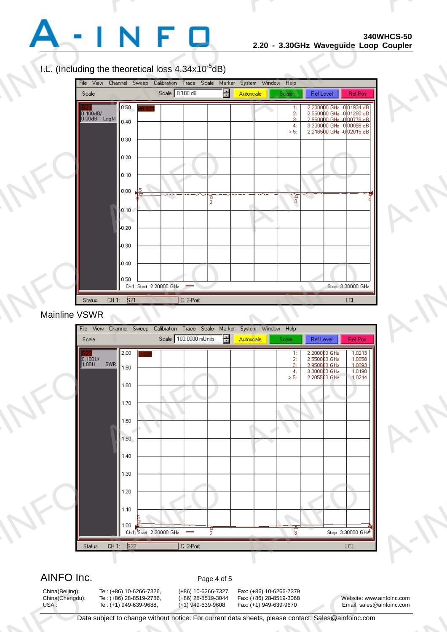

A-INFO

A-INFO

A-INFO

A-INFORMATION CONTINUES.

#### I.L. (Including the theoretical loss  $4.34x10^{-5}dB$ )

A-INFORMATION CONTINUES.



#### Mainline VSWR



#### AINFO Inc. Page 4 of 5

China(Beijing):<br>China(Chengdu):<br>USA :<br>Data

China(Beijing): Tel: (+86) 10-6266-7326, (+86) 10-6266-7327 Fax: (+86) 10-6266-7379

China(Chengdu): Tel: (+86) 28-8519-2786, (+86) 28-8519-3044 Fax: (+86) 28-8519-3068 Website: www.ainfoinc.com Email: sales@ainfoinc.com ainfoinc.com<br>ainfoinc.com